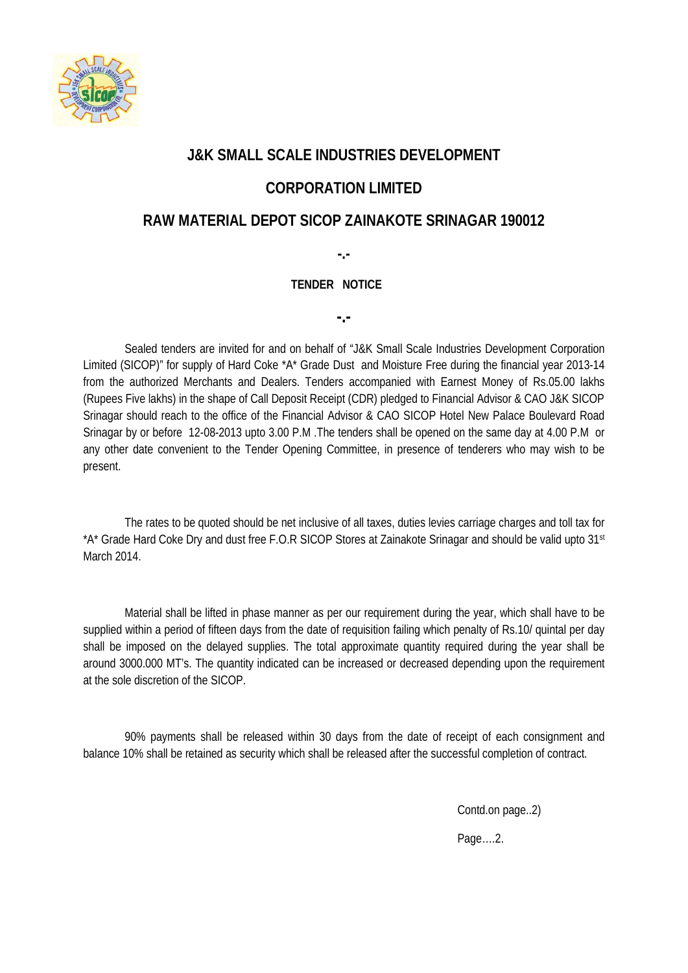

## **J&K SMALL SCALE INDUSTRIES DEVELOPMENT**

## **CORPORATION LIMITED**

## **RAW MATERIAL DEPOT SICOP ZAINAKOTE SRINAGAR 190012**

**-.-**

## **TENDER NOTICE**

**-.-**

Sealed tenders are invited for and on behalf of "J&K Small Scale Industries Development Corporation Limited (SICOP)" for supply of Hard Coke \*A\* Grade Dust and Moisture Free during the financial year 2013-14 from the authorized Merchants and Dealers. Tenders accompanied with Earnest Money of Rs.05.00 lakhs (Rupees Five lakhs) in the shape of Call Deposit Receipt (CDR) pledged to Financial Advisor & CAO J&K SICOP Srinagar should reach to the office of the Financial Advisor & CAO SICOP Hotel New Palace Boulevard Road Srinagar by or before 12-08-2013 upto 3.00 P.M .The tenders shall be opened on the same day at 4.00 P.M or any other date convenient to the Tender Opening Committee, in presence of tenderers who may wish to be present.

The rates to be quoted should be net inclusive of all taxes, duties levies carriage charges and toll tax for \*A\* Grade Hard Coke Dry and dust free F.O.R SICOP Stores at Zainakote Srinagar and should be valid upto 31st March 2014.

Material shall be lifted in phase manner as per our requirement during the year, which shall have to be supplied within a period of fifteen days from the date of requisition failing which penalty of Rs.10/ quintal per day shall be imposed on the delayed supplies. The total approximate quantity required during the year shall be around 3000.000 MT's. The quantity indicated can be increased or decreased depending upon the requirement at the sole discretion of the SICOP.

90% payments shall be released within 30 days from the date of receipt of each consignment and balance 10% shall be retained as security which shall be released after the successful completion of contract.

Contd.on page..2)

Page….2.